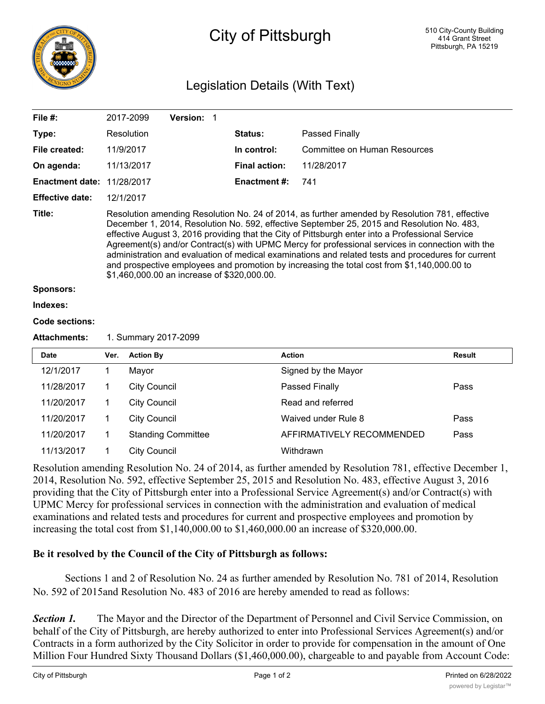

## City of Pittsburgh

## Legislation Details (With Text)

| File $#$ :             |                      | 2017-2099                                                                                                                                                                                                                                                                                                                                                                                                                                                                                                                                                                                                                                                | <b>Version:</b>           | $\overline{\phantom{0}}$ 1 |                              |               |  |  |  |
|------------------------|----------------------|----------------------------------------------------------------------------------------------------------------------------------------------------------------------------------------------------------------------------------------------------------------------------------------------------------------------------------------------------------------------------------------------------------------------------------------------------------------------------------------------------------------------------------------------------------------------------------------------------------------------------------------------------------|---------------------------|----------------------------|------------------------------|---------------|--|--|--|
| Type:                  |                      | Resolution                                                                                                                                                                                                                                                                                                                                                                                                                                                                                                                                                                                                                                               |                           | Status:                    | <b>Passed Finally</b>        |               |  |  |  |
| File created:          |                      | 11/9/2017                                                                                                                                                                                                                                                                                                                                                                                                                                                                                                                                                                                                                                                |                           | In control:                | Committee on Human Resources |               |  |  |  |
| On agenda:             |                      | 11/13/2017                                                                                                                                                                                                                                                                                                                                                                                                                                                                                                                                                                                                                                               |                           | <b>Final action:</b>       | 11/28/2017                   |               |  |  |  |
| <b>Enactment date:</b> |                      | 11/28/2017                                                                                                                                                                                                                                                                                                                                                                                                                                                                                                                                                                                                                                               |                           | <b>Enactment#:</b>         | 741                          |               |  |  |  |
| <b>Effective date:</b> |                      | 12/1/2017                                                                                                                                                                                                                                                                                                                                                                                                                                                                                                                                                                                                                                                |                           |                            |                              |               |  |  |  |
| Title:                 |                      | Resolution amending Resolution No. 24 of 2014, as further amended by Resolution 781, effective<br>December 1, 2014, Resolution No. 592, effective September 25, 2015 and Resolution No. 483,<br>effective August 3, 2016 providing that the City of Pittsburgh enter into a Professional Service<br>Agreement(s) and/or Contract(s) with UPMC Mercy for professional services in connection with the<br>administration and evaluation of medical examinations and related tests and procedures for current<br>and prospective employees and promotion by increasing the total cost from \$1,140,000.00 to<br>\$1,460,000.00 an increase of \$320,000.00. |                           |                            |                              |               |  |  |  |
| <b>Sponsors:</b>       |                      |                                                                                                                                                                                                                                                                                                                                                                                                                                                                                                                                                                                                                                                          |                           |                            |                              |               |  |  |  |
| Indexes:               |                      |                                                                                                                                                                                                                                                                                                                                                                                                                                                                                                                                                                                                                                                          |                           |                            |                              |               |  |  |  |
| <b>Code sections:</b>  |                      |                                                                                                                                                                                                                                                                                                                                                                                                                                                                                                                                                                                                                                                          |                           |                            |                              |               |  |  |  |
| <b>Attachments:</b>    | 1. Summary 2017-2099 |                                                                                                                                                                                                                                                                                                                                                                                                                                                                                                                                                                                                                                                          |                           |                            |                              |               |  |  |  |
| <b>Date</b>            | Ver.                 | <b>Action By</b>                                                                                                                                                                                                                                                                                                                                                                                                                                                                                                                                                                                                                                         |                           |                            | <b>Action</b>                | <b>Result</b> |  |  |  |
| 12/1/2017              | $\mathbf{1}$         | Mayor                                                                                                                                                                                                                                                                                                                                                                                                                                                                                                                                                                                                                                                    |                           |                            | Signed by the Mayor          |               |  |  |  |
| 11/28/2017             | $\mathbf 1$          | <b>City Council</b>                                                                                                                                                                                                                                                                                                                                                                                                                                                                                                                                                                                                                                      |                           |                            | Passed Finally               | Pass          |  |  |  |
| 11/20/2017             | 1                    | <b>City Council</b>                                                                                                                                                                                                                                                                                                                                                                                                                                                                                                                                                                                                                                      |                           |                            | Read and referred            |               |  |  |  |
| 11/20/2017             | $\mathbf 1$          | <b>City Council</b>                                                                                                                                                                                                                                                                                                                                                                                                                                                                                                                                                                                                                                      |                           |                            | Waived under Rule 8          | Pass          |  |  |  |
| 11/20/2017             | 1                    |                                                                                                                                                                                                                                                                                                                                                                                                                                                                                                                                                                                                                                                          | <b>Standing Committee</b> |                            | AFFIRMATIVELY RECOMMENDED    | Pass          |  |  |  |
| 11/13/2017             | 1                    | <b>City Council</b>                                                                                                                                                                                                                                                                                                                                                                                                                                                                                                                                                                                                                                      |                           |                            | Withdrawn                    |               |  |  |  |

Resolution amending Resolution No. 24 of 2014, as further amended by Resolution 781, effective December 1, 2014, Resolution No. 592, effective September 25, 2015 and Resolution No. 483, effective August 3, 2016 providing that the City of Pittsburgh enter into a Professional Service Agreement(s) and/or Contract(s) with UPMC Mercy for professional services in connection with the administration and evaluation of medical examinations and related tests and procedures for current and prospective employees and promotion by increasing the total cost from \$1,140,000.00 to \$1,460,000.00 an increase of \$320,000.00.

## **Be it resolved by the Council of the City of Pittsburgh as follows:**

Sections 1 and 2 of Resolution No. 24 as further amended by Resolution No. 781 of 2014, Resolution No. 592 of 2015and Resolution No. 483 of 2016 are hereby amended to read as follows:

**Section 1.** The Mayor and the Director of the Department of Personnel and Civil Service Commission, on behalf of the City of Pittsburgh, are hereby authorized to enter into Professional Services Agreement(s) and/or Contracts in a form authorized by the City Solicitor in order to provide for compensation in the amount of One Million Four Hundred Sixty Thousand Dollars (\$1,460,000.00), chargeable to and payable from Account Code: